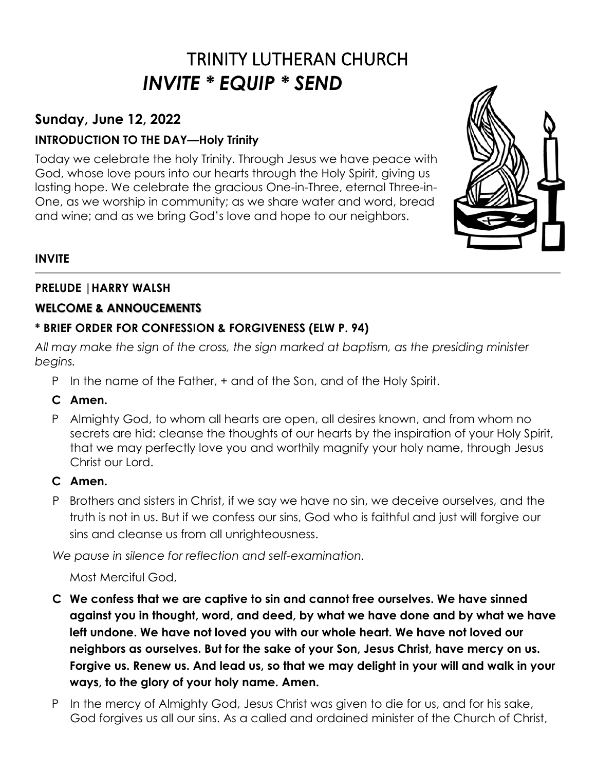# TRINITY LUTHERAN CHURCH *INVITE \* EQUIP \* SEND*

# **Sunday, June 12, 2022**

# **INTRODUCTION TO THE DAY—Holy Trinity**

Today we celebrate the holy Trinity. Through Jesus we have peace with God, whose love pours into our hearts through the Holy Spirit, giving us lasting hope. We celebrate the gracious One-in-Three, eternal Three-in-One, as we worship in community; as we share water and word, bread and wine; and as we bring God's love and hope to our neighbors.



# **INVITE**

## **PRELUDE |HARRY WALSH**

## **WELCOME & ANNOUCEMENTS**

## **\* BRIEF ORDER FOR CONFESSION & FORGIVENESS (ELW P. 94)**

*All may make the sign of the cross, the sign marked at baptism, as the presiding minister begins.* 

- P In the name of the Father, + and of the Son, and of the Holy Spirit.
- **C Amen.**
- P Almighty God, to whom all hearts are open, all desires known, and from whom no secrets are hid: cleanse the thoughts of our hearts by the inspiration of your Holy Spirit, that we may perfectly love you and worthily magnify your holy name, through Jesus Christ our Lord.

# **C Amen.**

P Brothers and sisters in Christ, if we say we have no sin, we deceive ourselves, and the truth is not in us. But if we confess our sins, God who is faithful and just will forgive our sins and cleanse us from all unrighteousness.

*We pause in silence for reflection and self-examination.*

Most Merciful God,

- **C We confess that we are captive to sin and cannot free ourselves. We have sinned against you in thought, word, and deed, by what we have done and by what we have left undone. We have not loved you with our whole heart. We have not loved our neighbors as ourselves. But for the sake of your Son, Jesus Christ, have mercy on us. Forgive us. Renew us. And lead us, so that we may delight in your will and walk in your ways, to the glory of your holy name. Amen.**
- P In the mercy of Almighty God, Jesus Christ was given to die for us, and for his sake, God forgives us all our sins. As a called and ordained minister of the Church of Christ,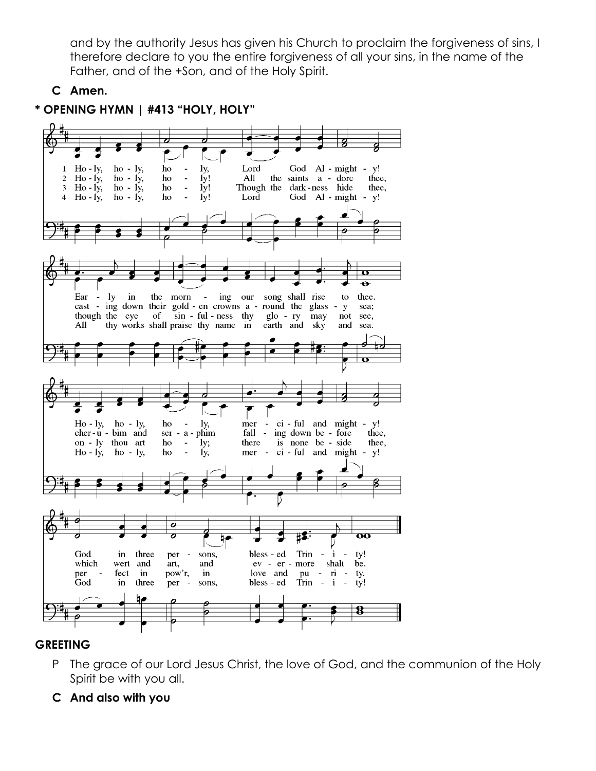and by the authority Jesus has given his Church to proclaim the forgiveness of sins, I therefore declare to you the entire forgiveness of all your sins, in the name of the Father, and of the +Son, and of the Holy Spirit.

**C Amen.** 



# **\* OPENING HYMN | #413 "HOLY, HOLY"**

# **GREETING**

- P The grace of our Lord Jesus Christ, the love of God, and the communion of the Holy Spirit be with you all.
- **C And also with you**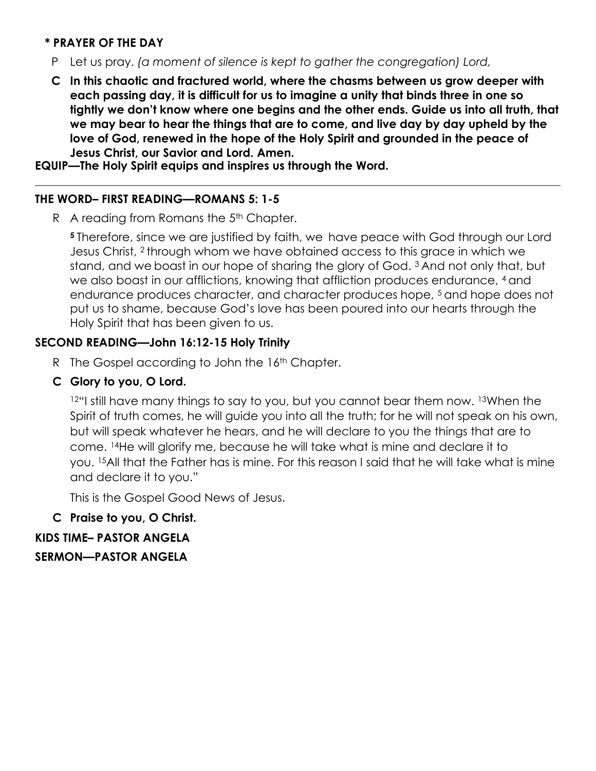## **\* PRAYER OF THE DAY**

- P Let us pray. *(a moment of silence is kept to gather the congregation) Lord,*
- **C In this chaotic and fractured world, where the chasms between us grow deeper with each passing day, it is difficult for us to imagine a unity that binds three in one so tightly we don't know where one begins and the other ends. Guide us into all truth, that we may bear to hear the things that are to come, and live day by day upheld by the love of God, renewed in the hope of the Holy Spirit and grounded in the peace of Jesus Christ, our Savior and Lord. Amen.**

**EQUIP—The Holy Spirit equips and inspires us through the Word.** 

## **THE WORD– FIRST READING—ROMANS 5: 1-5**

R A reading from Romans the 5<sup>th</sup> Chapter.

**<sup>5</sup>** Therefore, since we are justified by faith, we have peace with God through our Lord Jesus Christ, <sup>2</sup> through whom we have obtained access to this grace in which we stand, and we boast in our hope of sharing the glory of God. <sup>3</sup> And not only that, but we also boast in our afflictions, knowing that affliction produces endurance, 4 and endurance produces character, and character produces hope, <sup>5</sup> and hope does not put us to shame, because God's love has been poured into our hearts through the Holy Spirit that has been given to us.

## **SECOND READING—John 16:12-15 Holy Trinity**

- R The Gospel according to John the 16<sup>th</sup> Chapter.
- **C Glory to you, O Lord.**

12"I still have many things to say to you, but you cannot bear them now. 13When the Spirit of truth comes, he will guide you into all the truth; for he will not speak on his own, but will speak whatever he hears, and he will declare to you the things that are to come. <sup>14</sup>He will glorify me, because he will take what is mine and declare it to you. <sup>15</sup>All that the Father has is mine. For this reason I said that he will take what is mine and declare it to you."

This is the Gospel Good News of Jesus.

# **C Praise to you, O Christ.**

**KIDS TIME– PASTOR ANGELA**

**SERMON—PASTOR ANGELA**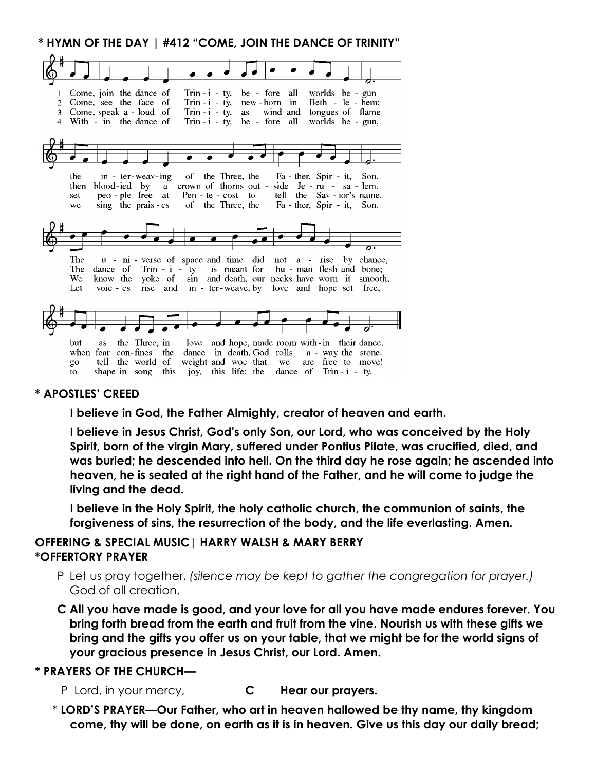**\* HYMN OF THE DAY | #412 "COME, JOIN THE DANCE OF TRINITY"**

| $\mathbf{1}$   | Come, join the dance of<br>Trin - i - ty, be - fore all worlds be - gun—                                                                             |
|----------------|------------------------------------------------------------------------------------------------------------------------------------------------------|
| $\overline{2}$ | Trin - $i - ty$ ,<br>Come, see the face of<br>$new-born$ in<br>Beth - le - hem;                                                                      |
| 3              | Trin - $i - ty$ ,<br>Come, speak a - loud of<br>wind and tongues of flame<br>as                                                                      |
| 4              | Trin - $i$ - ty, be - fore all<br>worlds be - gun,<br>With - in the dance of                                                                         |
|                |                                                                                                                                                      |
|                |                                                                                                                                                      |
|                |                                                                                                                                                      |
|                |                                                                                                                                                      |
|                |                                                                                                                                                      |
|                | of the Three, the<br>the<br>in - ter-weav-ing<br>Fa - ther, Spir - it, Son.                                                                          |
|                | crown of thorns out - side Je - ru - sa - lem.<br>blood-ied by a<br>then                                                                             |
|                | Pen - te - cost to tell the Sav - ior's name.<br>peo-ple free at<br>set                                                                              |
|                | sing the prais - es<br>of the Three, the<br>Fa - ther, Spir - it, Son.<br>we                                                                         |
|                |                                                                                                                                                      |
|                |                                                                                                                                                      |
|                |                                                                                                                                                      |
|                |                                                                                                                                                      |
|                |                                                                                                                                                      |
|                |                                                                                                                                                      |
|                |                                                                                                                                                      |
|                | The<br>u - ni - verse of space and time did not a - rise by chance,                                                                                  |
|                | Trin - i - ty is meant for hu - man flesh and bone;<br>The<br>dance of                                                                               |
|                | yoke of sin and death, our necks have worn it smooth;<br>We<br>know the                                                                              |
|                | rise and in - ter-weave, by love and hope set free,<br>$\overline{v}$ voic - es<br>Let                                                               |
|                |                                                                                                                                                      |
|                |                                                                                                                                                      |
|                |                                                                                                                                                      |
|                |                                                                                                                                                      |
|                |                                                                                                                                                      |
|                | the Three, in love and hope, made room with-in their dance.<br>but<br>as                                                                             |
|                | when fear con-fines the                                                                                                                              |
|                | dance in death, God rolls a - way the stone.                                                                                                         |
|                | weight and woe that we<br>tell the world of<br>are free to move!<br>go<br>shape in song this joy, this life: the<br>dance of $Trin - i - ty$ .<br>to |

### **\* APOSTLES' CREED**

**I believe in God, the Father Almighty, creator of heaven and earth.** 

**I believe in Jesus Christ, God's only Son, our Lord, who was conceived by the Holy Spirit, born of the virgin Mary, suffered under Pontius Pilate, was crucified, died, and was buried; he descended into hell. On the third day he rose again; he ascended into heaven, he is seated at the right hand of the Father, and he will come to judge the living and the dead.** 

**I believe in the Holy Spirit, the holy catholic church, the communion of saints, the forgiveness of sins, the resurrection of the body, and the life everlasting. Amen.** 

## **OFFERING & SPECIAL MUSIC| HARRY WALSH & MARY BERRY \*OFFERTORY PRAYER**

- P Let us pray together. *(silence may be kept to gather the congregation for prayer.)*  God of all creation,
- **C All you have made is good, and your love for all you have made endures forever. You bring forth bread from the earth and fruit from the vine. Nourish us with these gifts we bring and the gifts you offer us on your table, that we might be for the world signs of your gracious presence in Jesus Christ, our Lord. Amen.**

### **\* PRAYERS OF THE CHURCH—**

- P Lord, in your mercy, **C Hear our prayers.**
- \* **LORD'S PRAYER—Our Father, who art in heaven hallowed be thy name, thy kingdom come, thy will be done, on earth as it is in heaven. Give us this day our daily bread;**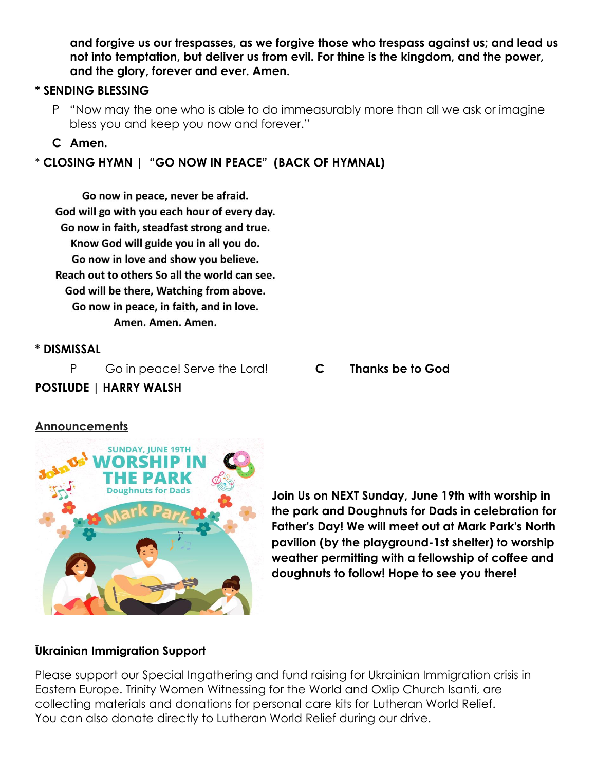**and forgive us our trespasses, as we forgive those who trespass against us; and lead us not into temptation, but deliver us from evil. For thine is the kingdom, and the power, and the glory, forever and ever. Amen.**

## **\* SENDING BLESSING**

P "Now may the one who is able to do immeasurably more than all we ask or imagine bless you and keep you now and forever."

## **C Amen.**

# \* **CLOSING HYMN | "GO NOW IN PEACE" (BACK OF HYMNAL)**

Go now in peace, never be afraid. God will go with you each hour of every day. Go now in faith, steadfast strong and true. Know God will guide you in all you do. Go now in love and show you believe. Reach out to others So all the world can see. God will be there, Watching from above. Go now in peace, in faith, and in love. Amen. Amen. Amen.

## **\* DISMISSAL**

P Go in peace! Serve the Lord! **C Thanks be to God**

# **POSTLUDE | HARRY WALSH**

# **Announcements**



**Join Us on NEXT Sunday, June 19th with worship in the park and Doughnuts for Dads in celebration for Father's Day! We will meet out at Mark Park's North pavilion (by the playground-1st shelter) to worship weather permitting with a fellowship of coffee and doughnuts to follow! Hope to see you there!**

## **Ukrainian Immigration Support**

Please support our Special Ingathering and fund raising for Ukrainian Immigration crisis in Eastern Europe. Trinity Women Witnessing for the World and Oxlip Church Isanti, are collecting materials and donations for personal care kits for Lutheran World Relief. You can also donate directly to Lutheran World Relief during our drive.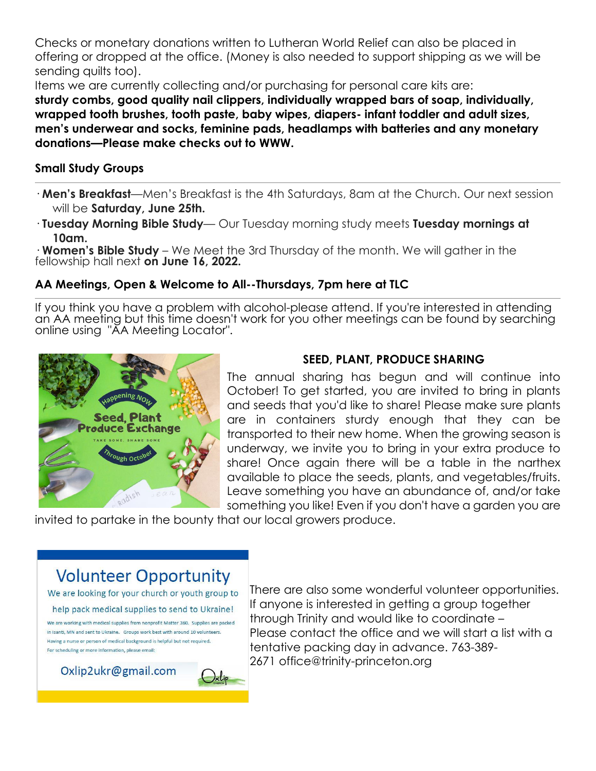Checks or monetary donations written to Lutheran World Relief can also be placed in offering or dropped at the office. (Money is also needed to support shipping as we will be sending quilts too).

Items we are currently collecting and/or purchasing for personal care kits are:

**sturdy combs, good quality nail clippers, individually wrapped bars of soap, individually, wrapped tooth brushes, tooth paste, baby wipes, diapers- infant toddler and adult sizes, men's underwear and socks, feminine pads, headlamps with batteries and any monetary donations—Please make checks out to WWW.**

## **Small Study Groups**

- · **Men's Breakfast**—Men's Breakfast is the 4th Saturdays, 8am at the Church. Our next session will be **Saturday, June 25th.**
- · **Tuesday Morning Bible Study** Our Tuesday morning study meets **Tuesday mornings at 10am.**

· **Women's Bible Study** – We Meet the 3rd Thursday of the month. We will gather in the fellowship hall next **on June 16, 2022.**

# **AA Meetings, Open & Welcome to All--Thursdays, 7pm here at TLC**

If you think you have a problem with alcohol-please attend. If you're interested in attending an AA meeting but this time doesn't work for you other meetings can be found by searching online using "AA Meeting Locator".



# **SEED, PLANT, PRODUCE SHARING**

The annual sharing has begun and will continue into October! To get started, you are invited to bring in plants and seeds that you'd like to share! Please make sure plants are in containers sturdy enough that they can be transported to their new home. When the growing season is underway, we invite you to bring in your extra produce to share! Once again there will be a table in the narthex available to place the seeds, plants, and vegetables/fruits. Leave something you have an abundance of, and/or take something you like! Even if you don't have a garden you are

invited to partake in the bounty that our local growers produce.

# **Volunteer Opportunity**

We are looking for your church or youth group to

help pack medical supplies to send to Ukraine!

We are working with medical supplies from nonprofit Matter 360. Supplies are packed in Isanti, MN and sent to Ukraine. Groups work best with around 10 volunteers. Having a nurse or person of medical background is helpful but not required. For scheduling or more information, please email:

Oxlip2ukr@gmail.com

There are also some wonderful volunteer opportunities. If anyone is interested in getting a group together through Trinity and would like to coordinate – Please contact the office and we will start a list with a tentative packing day in advance. 763-389- 2671 office@trinity-princeton.org